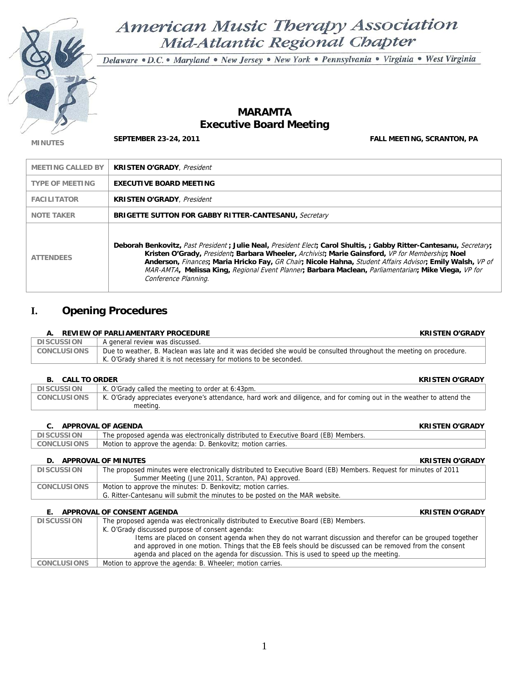

# American Music Therapy Association Mid-Atlantic Regional Chapter

Delaware · D.C. · Maryland · New Jersey · New York · Pennsylvania · Virginia · West Virginia

## **MARAMTA Executive Board Meeting**

**MINUTES SEPTEMBER 23-24, 2011 FALL MEETING, SCRANTON, PA** 

| <b>MEETING CALLED BY</b> | <b>KRISTEN O'GRADY, President</b>                                                                                                                                                                                                                                                                                                                                                                                                                                    |
|--------------------------|----------------------------------------------------------------------------------------------------------------------------------------------------------------------------------------------------------------------------------------------------------------------------------------------------------------------------------------------------------------------------------------------------------------------------------------------------------------------|
| <b>TYPE OF MEETING</b>   | <b>EXECUTIVE BOARD MEETING</b>                                                                                                                                                                                                                                                                                                                                                                                                                                       |
| <b>FACILITATOR</b>       | <b>KRISTEN O'GRADY</b> , <i>President</i>                                                                                                                                                                                                                                                                                                                                                                                                                            |
| <b>NOTE TAKER</b>        | <b>BRIGETTE SUTTON FOR GABBY RITTER-CANTESANU, Secretary</b>                                                                                                                                                                                                                                                                                                                                                                                                         |
| <b>ATTENDEES</b>         | Deborah Benkovitz, Past President; Julie Neal, President Elect; Carol Shultis, ; Gabby Ritter-Cantesanu, Secretary;<br>Kristen O'Grady, President; Barbara Wheeler, Archivist; Marie Gainsford, VP for Membership; Noel<br>Anderson, Finances; Maria Hricko Fay, GR Chair; Nicole Hahna, Student Affairs Advisor; Emily Walsh, VP of<br>MAR-AMTA, Melissa King, Regional Event Planner, Barbara Maclean, Parliamentarian; Mike Viega, VP for<br>Conference Planning. |

## **I. Opening Procedures**

#### **A. REVIEW OF PARLIAMENTARY PROCEDURE KRISTEN O'GRADY**

|                    | A. KEYILW VI LAKERWENTAKI LIVYOLDOKE                                                                               |
|--------------------|--------------------------------------------------------------------------------------------------------------------|
| DISCUSSION         | A general review was discussed.                                                                                    |
| <b>CONCLUSIONS</b> | Due to weather, B. Maclean was late and it was decided she would be consulted throughout the meeting on procedure. |
|                    | K. O'Grady shared it is not necessary for motions to be seconded.                                                  |
|                    |                                                                                                                    |

### **B. CALL TO ORDER KRISTEN O'GRADY**

| DISCUSSION         | K. O'Grady called the meeting to order at 6:43pm.                                                                      |
|--------------------|------------------------------------------------------------------------------------------------------------------------|
| <b>CONCLUSIONS</b> | K. O'Grady appreciates everyone's attendance, hard work and diligence, and for coming out in the weather to attend the |
|                    | meeting.                                                                                                               |

#### **C. APPROVAL OF AGENDA KRISTEN O'GRADY**

| `SION              | ' (EB) Members.                                                        |
|--------------------|------------------------------------------------------------------------|
| <b>DISCUSSI</b>    | The proposed agenda was electronically distributed to Executive Board, |
| <b>CONCLUSIONS</b> | Motion to approve the agenda: D. Benkovitz: motion carries.            |

**D.** APPROVAL OF MINUTES KRISTEN O'GRADY **DISCUSSION** The proposed minutes were electronically distributed to Executive Board (EB) Members. Request for minutes of 2011 Summer Meeting (June 2011, Scranton, PA) approved. CONCLUSIONS | Motion to approve the minutes: D. Benkovitz; motion carries. G. Ritter-Cantesanu will submit the minutes to be posted on the MAR website.

#### **E. APPROVAL OF CONSENT AGENDA KRISTEN O'GRADY**

| <b>DISCUSSION</b>  | The proposed agenda was electronically distributed to Executive Board (EB) Members.                         |  |  |  |
|--------------------|-------------------------------------------------------------------------------------------------------------|--|--|--|
|                    | K. O'Grady discussed purpose of consent agenda:                                                             |  |  |  |
|                    | Items are placed on consent agenda when they do not warrant discussion and therefor can be grouped together |  |  |  |
|                    | and approved in one motion. Things that the EB feels should be discussed can be removed from the consent    |  |  |  |
|                    | agenda and placed on the agenda for discussion. This is used to speed up the meeting.                       |  |  |  |
| <b>CONCLUSIONS</b> | Motion to approve the agenda: B. Wheeler; motion carries.                                                   |  |  |  |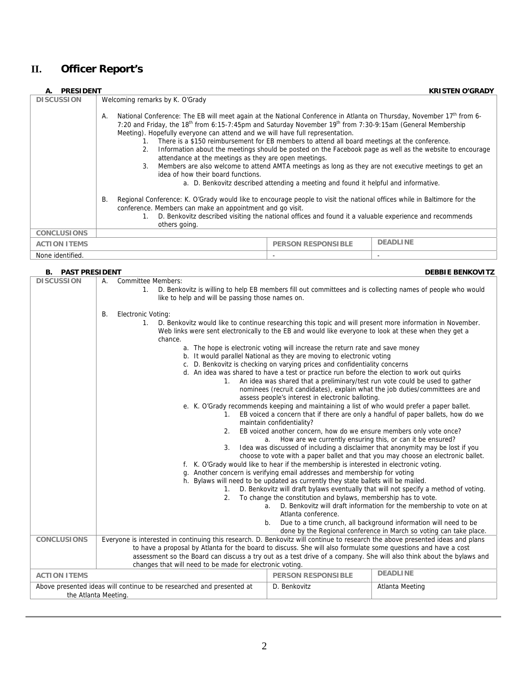## **II. Officer Report's**

#### **A.** PRESIDENT **KRISTEN O'GRADY CONSIDENT CONSIDERED ASSESS KRISTEN O'GRADY KRISTEN O'GRADY Welcoming remarks by K. O'Grady** A. National Conference: The EB will meet again at the National Conference in Atlanta on Thursday, November 17<sup>th</sup> from 6-7:20 and Friday, the 18<sup>th</sup> from 6:15-7:45pm and Saturday November 19<sup>th</sup> from 7:30-9:15am (General Membership Meeting). Hopefully everyone can attend and we will have full representation. 1. There is a \$150 reimbursement for EB members to attend all board meetings at the conference. 2. Information about the meetings should be posted on the Facebook page as well as the website to encourage attendance at the meetings as they are open meetings. 3. Members are also welcome to attend AMTA meetings as long as they are not executive meetings to get an idea of how their board functions. a. D. Benkovitz described attending a meeting and found it helpful and informative. B. Regional Conference: K. O'Grady would like to encourage people to visit the national offices while in Baltimore for the conference. Members can make an appointment and go visit. 1. D. Benkovitz described visiting the national offices and found it a valuable experience and recommends others going. **CONCLUSIONS ACTION ITEMS** PERSON RESPONSIBLE **DEADLINE** None identified.

| <b>B. PAST PRESIDENT</b><br><b>DEBBIE BENKOVITZ</b>                                                                              |                                                                                                                                                                                                                                                                                                                                                                                                                                                                                                                                                                                                                                                                                                                                                                                                                                                                                                                                                                                                                                                                                                                                                                                                                                                                                                                                                                                                                                                                                                                                                                                                                                                                                                                                                                                                                                                                                                    |                           |                 |  |  |
|----------------------------------------------------------------------------------------------------------------------------------|----------------------------------------------------------------------------------------------------------------------------------------------------------------------------------------------------------------------------------------------------------------------------------------------------------------------------------------------------------------------------------------------------------------------------------------------------------------------------------------------------------------------------------------------------------------------------------------------------------------------------------------------------------------------------------------------------------------------------------------------------------------------------------------------------------------------------------------------------------------------------------------------------------------------------------------------------------------------------------------------------------------------------------------------------------------------------------------------------------------------------------------------------------------------------------------------------------------------------------------------------------------------------------------------------------------------------------------------------------------------------------------------------------------------------------------------------------------------------------------------------------------------------------------------------------------------------------------------------------------------------------------------------------------------------------------------------------------------------------------------------------------------------------------------------------------------------------------------------------------------------------------------------|---------------------------|-----------------|--|--|
| <b>DISCUSSION</b>                                                                                                                | <b>Committee Members:</b><br>А.<br>D. Benkovitz is willing to help EB members fill out committees and is collecting names of people who would<br>1.<br>like to help and will be passing those names on.                                                                                                                                                                                                                                                                                                                                                                                                                                                                                                                                                                                                                                                                                                                                                                                                                                                                                                                                                                                                                                                                                                                                                                                                                                                                                                                                                                                                                                                                                                                                                                                                                                                                                            |                           |                 |  |  |
|                                                                                                                                  | Electronic Voting:<br>В.<br>D. Benkovitz would like to continue researching this topic and will present more information in November.<br>1.<br>Web links were sent electronically to the EB and would like everyone to look at these when they get a<br>chance.<br>a. The hope is electronic voting will increase the return rate and save money<br>b. It would parallel National as they are moving to electronic voting<br>c. D. Benkovitz is checking on varying prices and confidentiality concerns<br>d. An idea was shared to have a test or practice run before the election to work out quirks<br>An idea was shared that a preliminary/test run vote could be used to gather<br>1.<br>nominees (recruit candidates), explain what the job duties/committees are and<br>assess people's interest in electronic balloting.<br>e. K. O'Grady recommends keeping and maintaining a list of who would prefer a paper ballet.<br>EB voiced a concern that if there are only a handful of paper ballets, how do we<br>1.<br>maintain confidentiality?<br>EB voiced another concern, how do we ensure members only vote once?<br>2.<br>How are we currently ensuring this, or can it be ensured?<br>a.<br>Idea was discussed of including a disclaimer that anonymity may be lost if you<br>3.<br>choose to vote with a paper ballet and that you may choose an electronic ballet.<br>f. K. O'Grady would like to hear if the membership is interested in electronic voting.<br>g. Another concern is verifying email addresses and membership for voting<br>h. Bylaws will need to be updated as currently they state ballets will be mailed.<br>D. Benkovitz will draft bylaws eventually that will not specify a method of voting.<br>1.<br>To change the constitution and bylaws, membership has to vote.<br>2.<br>D. Benkovitz will draft information for the membership to vote on at<br>a. |                           |                 |  |  |
|                                                                                                                                  | Atlanta conference.<br>Due to a time crunch, all background information will need to be<br>b.<br>done by the Regional conference in March so voting can take place.                                                                                                                                                                                                                                                                                                                                                                                                                                                                                                                                                                                                                                                                                                                                                                                                                                                                                                                                                                                                                                                                                                                                                                                                                                                                                                                                                                                                                                                                                                                                                                                                                                                                                                                                |                           |                 |  |  |
| <b>CONCLUSIONS</b>                                                                                                               | Everyone is interested in continuing this research. D. Benkovitz will continue to research the above presented ideas and plans<br>to have a proposal by Atlanta for the board to discuss. She will also formulate some questions and have a cost<br>assessment so the Board can discuss a try out as a test drive of a company. She will also think about the bylaws and<br>changes that will need to be made for electronic voting.                                                                                                                                                                                                                                                                                                                                                                                                                                                                                                                                                                                                                                                                                                                                                                                                                                                                                                                                                                                                                                                                                                                                                                                                                                                                                                                                                                                                                                                               |                           |                 |  |  |
| <b>ACTION ITEMS</b>                                                                                                              |                                                                                                                                                                                                                                                                                                                                                                                                                                                                                                                                                                                                                                                                                                                                                                                                                                                                                                                                                                                                                                                                                                                                                                                                                                                                                                                                                                                                                                                                                                                                                                                                                                                                                                                                                                                                                                                                                                    | <b>PERSON RESPONSIBLE</b> | <b>DEADLINE</b> |  |  |
| Above presented ideas will continue to be researched and presented at<br>D. Benkovitz<br>Atlanta Meeting<br>the Atlanta Meeting. |                                                                                                                                                                                                                                                                                                                                                                                                                                                                                                                                                                                                                                                                                                                                                                                                                                                                                                                                                                                                                                                                                                                                                                                                                                                                                                                                                                                                                                                                                                                                                                                                                                                                                                                                                                                                                                                                                                    |                           |                 |  |  |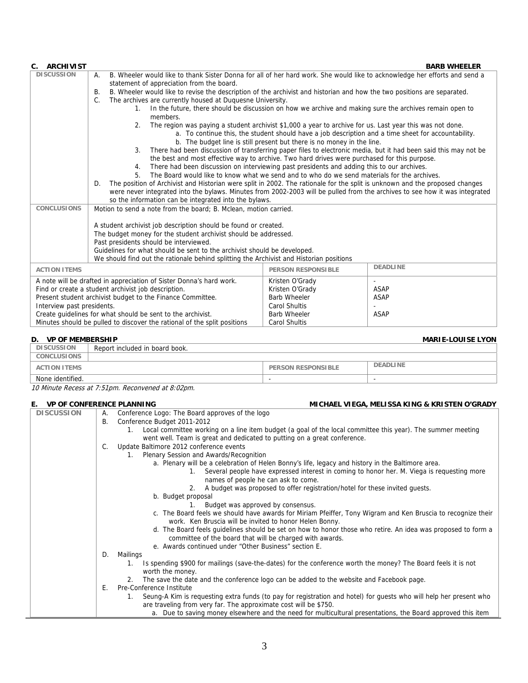| <b>ARCHIVIST</b>                                                                                                                                      |                                                                                                                                   |                                                                                                                           |                                                                        | <b>BARB WHEELER</b>                                                                                             |  |  |
|-------------------------------------------------------------------------------------------------------------------------------------------------------|-----------------------------------------------------------------------------------------------------------------------------------|---------------------------------------------------------------------------------------------------------------------------|------------------------------------------------------------------------|-----------------------------------------------------------------------------------------------------------------|--|--|
| <b>DISCUSSION</b><br>B. Wheeler would like to thank Sister Donna for all of her hard work. She would like to acknowledge her efforts and send a<br>А. |                                                                                                                                   |                                                                                                                           |                                                                        |                                                                                                                 |  |  |
|                                                                                                                                                       | statement of appreciation from the board.                                                                                         |                                                                                                                           |                                                                        |                                                                                                                 |  |  |
|                                                                                                                                                       | В.                                                                                                                                | B. Wheeler would like to revise the description of the archivist and historian and how the two positions are separated.   |                                                                        |                                                                                                                 |  |  |
|                                                                                                                                                       | C.                                                                                                                                | The archives are currently housed at Duquesne University.                                                                 |                                                                        |                                                                                                                 |  |  |
|                                                                                                                                                       |                                                                                                                                   | In the future, there should be discussion on how we archive and making sure the archives remain open to<br>1.<br>members. |                                                                        |                                                                                                                 |  |  |
|                                                                                                                                                       |                                                                                                                                   | 2.<br>The region was paying a student archivist \$1,000 a year to archive for us. Last year this was not done.            |                                                                        |                                                                                                                 |  |  |
|                                                                                                                                                       |                                                                                                                                   |                                                                                                                           |                                                                        | a. To continue this, the student should have a job description and a time sheet for accountability.             |  |  |
|                                                                                                                                                       |                                                                                                                                   |                                                                                                                           | b. The budget line is still present but there is no money in the line. |                                                                                                                 |  |  |
|                                                                                                                                                       |                                                                                                                                   | 3.                                                                                                                        |                                                                        | There had been discussion of transferring paper files to electronic media, but it had been said this may not be |  |  |
|                                                                                                                                                       |                                                                                                                                   | the best and most effective way to archive. Two hard drives were purchased for this purpose.                              |                                                                        |                                                                                                                 |  |  |
|                                                                                                                                                       |                                                                                                                                   | There had been discussion on interviewing past presidents and adding this to our archives.<br>4.                          |                                                                        |                                                                                                                 |  |  |
|                                                                                                                                                       | The Board would like to know what we send and to who do we send materials for the archives.<br>5.                                 |                                                                                                                           |                                                                        |                                                                                                                 |  |  |
|                                                                                                                                                       | The position of Archivist and Historian were split in 2002. The rationale for the split is unknown and the proposed changes<br>D. |                                                                                                                           |                                                                        |                                                                                                                 |  |  |
| were never integrated into the bylaws. Minutes from 2002-2003 will be pulled from the archives to see how it was integrated                           |                                                                                                                                   |                                                                                                                           |                                                                        |                                                                                                                 |  |  |
| so the information can be integrated into the bylaws.                                                                                                 |                                                                                                                                   |                                                                                                                           |                                                                        |                                                                                                                 |  |  |
| <b>CONCLUSIONS</b><br>Motion to send a note from the board; B. Mclean, motion carried.                                                                |                                                                                                                                   |                                                                                                                           |                                                                        |                                                                                                                 |  |  |
| A student archivist job description should be found or created.                                                                                       |                                                                                                                                   |                                                                                                                           |                                                                        |                                                                                                                 |  |  |
|                                                                                                                                                       |                                                                                                                                   | The budget money for the student archivist should be addressed.                                                           |                                                                        |                                                                                                                 |  |  |
|                                                                                                                                                       |                                                                                                                                   | Past presidents should be interviewed.                                                                                    |                                                                        |                                                                                                                 |  |  |
|                                                                                                                                                       |                                                                                                                                   | Guidelines for what should be sent to the archivist should be developed.                                                  |                                                                        |                                                                                                                 |  |  |
|                                                                                                                                                       | We should find out the rationale behind splitting the Archivist and Historian positions                                           |                                                                                                                           |                                                                        |                                                                                                                 |  |  |
| <b>DEADLINE</b><br><b>ACTION ITEMS</b><br><b>PERSON RESPONSIBLE</b>                                                                                   |                                                                                                                                   |                                                                                                                           |                                                                        |                                                                                                                 |  |  |
| A note will be drafted in appreciation of Sister Donna's hard work.                                                                                   |                                                                                                                                   |                                                                                                                           | Kristen O'Grady                                                        |                                                                                                                 |  |  |
| Find or create a student archivist job description.                                                                                                   |                                                                                                                                   |                                                                                                                           | Kristen O'Grady                                                        | <b>ASAP</b>                                                                                                     |  |  |
|                                                                                                                                                       |                                                                                                                                   | Present student archivist budget to the Finance Committee.                                                                | <b>Barb Wheeler</b>                                                    | <b>ASAP</b>                                                                                                     |  |  |
| Interview past presidents.                                                                                                                            |                                                                                                                                   |                                                                                                                           | Carol Shultis                                                          |                                                                                                                 |  |  |
|                                                                                                                                                       |                                                                                                                                   | Create quidelines for what should be sent to the archivist.                                                               | <b>Barb Wheeler</b>                                                    | <b>ASAP</b>                                                                                                     |  |  |

#### **D. VP OF MEMBERSHIP MARIE-LOUISE LYON**

| <b>D.</b> VF OF WILIVIDERSHIP | IVIANIL-LOUIJL LIUN            |                           |                 |
|-------------------------------|--------------------------------|---------------------------|-----------------|
| <b>DISCUSSION</b>             | Report included in board book. |                           |                 |
| <b>CONCLUSIONS</b>            |                                |                           |                 |
| <b>ACTION ITEMS</b>           |                                | <b>PERSON RESPONSIBLE</b> | <b>DEADLINE</b> |
| None identified.              |                                | $\overline{\phantom{a}}$  |                 |

Carol Shultis

10 Minute Recess at 7:51pm. Reconvened at 8:02pm.

Minutes should be pulled to discover the rational of the split positions

#### **E. VP OF CONFERENCE PLANNING MICHAEL VIEGA, MELISSA KING & KRISTEN O'GRADY**

| <b>DISCUSSION</b> | А. | Conference Logo: The Board approves of the logo                                                                          |
|-------------------|----|--------------------------------------------------------------------------------------------------------------------------|
|                   | В. | Conference Budget 2011-2012                                                                                              |
|                   |    | Local committee working on a line item budget (a goal of the local committee this year). The summer meeting<br>1.        |
|                   |    | went well. Team is great and dedicated to putting on a great conference.                                                 |
|                   | C. | Update Baltimore 2012 conference events                                                                                  |
|                   |    | Plenary Session and Awards/Recognition<br>1.                                                                             |
|                   |    | a. Plenary will be a celebration of Helen Bonny's life, legacy and history in the Baltimore area.                        |
|                   |    | Several people have expressed interest in coming to honor her. M. Viega is requesting more<br>1.                         |
|                   |    | names of people he can ask to come.                                                                                      |
|                   |    | A budget was proposed to offer registration/hotel for these invited quests.<br>2.                                        |
|                   |    | b. Budget proposal                                                                                                       |
|                   |    | Budget was approved by consensus.                                                                                        |
|                   |    | c. The Board feels we should have awards for Miriam Pfeiffer, Tony Wigram and Ken Bruscia to recognize their             |
|                   |    | work. Ken Bruscia will be invited to honor Helen Bonny.                                                                  |
|                   |    | d. The Board feels quidelines should be set on how to honor those who retire. An idea was proposed to form a             |
|                   |    | committee of the board that will be charged with awards.                                                                 |
|                   |    | e. Awards continued under "Other Business" section E.                                                                    |
|                   | D. | Mailings                                                                                                                 |
|                   |    | Is spending \$900 for mailings (save-the-dates) for the conference worth the money? The Board feels it is not<br>1.      |
|                   |    | worth the money.                                                                                                         |
|                   |    | The save the date and the conference logo can be added to the website and Facebook page.<br>2.                           |
|                   | Ε. | Pre-Conference Institute                                                                                                 |
|                   |    | Seung-A Kim is requesting extra funds (to pay for registration and hotel) for guests who will help her present who<br>1. |
|                   |    | are traveling from very far. The approximate cost will be \$750.                                                         |
|                   |    | a. Due to saving money elsewhere and the need for multicultural presentations, the Board approved this item              |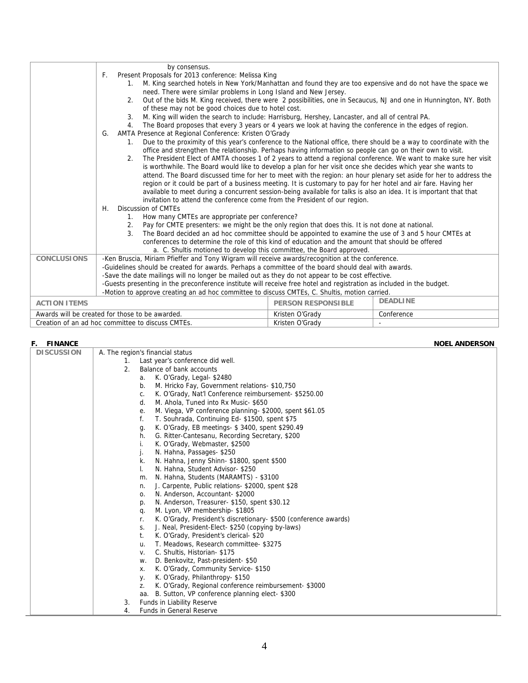|                     | by consensus.                                                                                                                                                                                                                     |                           |                 |  |  |
|---------------------|-----------------------------------------------------------------------------------------------------------------------------------------------------------------------------------------------------------------------------------|---------------------------|-----------------|--|--|
|                     | Present Proposals for 2013 conference: Melissa King<br>F.                                                                                                                                                                         |                           |                 |  |  |
|                     | M. King searched hotels in New York/Manhattan and found they are too expensive and do not have the space we<br>$\mathbf{1}_{\cdot}$<br>need. There were similar problems in Long Island and New Jersey.                           |                           |                 |  |  |
|                     | Out of the bids M. King received, there were 2 possibilities, one in Secaucus, NJ and one in Hunnington, NY. Both<br>2.<br>of these may not be good choices due to hotel cost.                                                    |                           |                 |  |  |
|                     | M. King will widen the search to include: Harrisburg, Hershey, Lancaster, and all of central PA.<br>3 <sub>1</sub>                                                                                                                |                           |                 |  |  |
|                     |                                                                                                                                                                                                                                   |                           |                 |  |  |
|                     | The Board proposes that every 3 years or 4 years we look at having the conference in the edges of region.<br>4.                                                                                                                   |                           |                 |  |  |
|                     | AMTA Presence at Regional Conference: Kristen O'Grady<br>G.                                                                                                                                                                       |                           |                 |  |  |
|                     | Due to the proximity of this year's conference to the National office, there should be a way to coordinate with the<br>office and strengthen the relationship. Perhaps having information so people can go on their own to visit. |                           |                 |  |  |
|                     | The President Elect of AMTA chooses 1 of 2 years to attend a regional conference. We want to make sure her visit<br>2.                                                                                                            |                           |                 |  |  |
|                     | is worthwhile. The Board would like to develop a plan for her visit once she decides which year she wants to                                                                                                                      |                           |                 |  |  |
|                     | attend. The Board discussed time for her to meet with the region: an hour plenary set aside for her to address the                                                                                                                |                           |                 |  |  |
|                     | region or it could be part of a business meeting. It is customary to pay for her hotel and air fare. Having her                                                                                                                   |                           |                 |  |  |
|                     |                                                                                                                                                                                                                                   |                           |                 |  |  |
|                     | available to meet during a concurrent session-being available for talks is also an idea. It is important that that<br>invitation to attend the conference come from the President of our region.                                  |                           |                 |  |  |
|                     | Discussion of CMTEs<br>Η.                                                                                                                                                                                                         |                           |                 |  |  |
|                     | How many CMTEs are appropriate per conference?<br>1.                                                                                                                                                                              |                           |                 |  |  |
|                     | Pay for CMTE presenters: we might be the only region that does this. It is not done at national.<br>2.                                                                                                                            |                           |                 |  |  |
|                     | The Board decided an ad hoc committee should be appointed to examine the use of 3 and 5 hour CMTEs at<br>3.                                                                                                                       |                           |                 |  |  |
|                     | conferences to determine the role of this kind of education and the amount that should be offered                                                                                                                                 |                           |                 |  |  |
|                     |                                                                                                                                                                                                                                   |                           |                 |  |  |
| <b>CONCLUSIONS</b>  | a. C. Shultis motioned to develop this committee, the Board approved.                                                                                                                                                             |                           |                 |  |  |
|                     | -Ken Bruscia, Miriam Pfieffer and Tony Wigram will receive awards/recognition at the conference.                                                                                                                                  |                           |                 |  |  |
|                     | -Guidelines should be created for awards. Perhaps a committee of the board should deal with awards.                                                                                                                               |                           |                 |  |  |
|                     | -Save the date mailings will no longer be mailed out as they do not appear to be cost effective.                                                                                                                                  |                           |                 |  |  |
|                     | -Guests presenting in the preconference institute will receive free hotel and registration as included in the budget.                                                                                                             |                           |                 |  |  |
|                     | -Motion to approve creating an ad hoc committee to discuss CMTEs, C. Shultis, motion carried.                                                                                                                                     |                           |                 |  |  |
| <b>ACTION ITEMS</b> |                                                                                                                                                                                                                                   | <b>PERSON RESPONSIBLE</b> | <b>DEADLINE</b> |  |  |
|                     | Awards will be created for those to be awarded.                                                                                                                                                                                   | Kristen O'Grady           | Conference      |  |  |
|                     | Creation of an ad hoc committee to discuss CMTEs.                                                                                                                                                                                 | Kristen O'Grady           |                 |  |  |

| <b>FINANCE</b><br>F. |                                                                        | <b>NOEL ANDERSON</b> |
|----------------------|------------------------------------------------------------------------|----------------------|
| <b>DISCUSSION</b>    | A. The region's financial status                                       |                      |
|                      | Last year's conference did well.<br>1.                                 |                      |
|                      | Balance of bank accounts<br>2 <sub>1</sub>                             |                      |
|                      | K. O'Grady, Legal- \$2480<br>а.                                        |                      |
|                      | M. Hricko Fay, Government relations-\$10,750<br>b.                     |                      |
|                      | K. O'Grady, Nat'l Conference reimbursement-\$5250.00<br>C.             |                      |
|                      | M. Ahola, Tuned into Rx Music-\$650<br>d.                              |                      |
|                      | M. Viega, VP conference planning-\$2000, spent \$61.05<br>е.           |                      |
|                      | T. Souhrada, Continuing Ed-\$1500, spent \$75<br>f.                    |                      |
|                      | K. O'Grady, EB meetings- \$3400, spent \$290.49<br>g.                  |                      |
|                      | G. Ritter-Cantesanu, Recording Secretary, \$200<br>h.                  |                      |
|                      | K. O'Grady, Webmaster, \$2500                                          |                      |
|                      | N. Hahna, Passages- \$250                                              |                      |
|                      | N. Hahna, Jenny Shinn-\$1800, spent \$500<br>k.                        |                      |
|                      | N. Hahna, Student Advisor-\$250                                        |                      |
|                      | N. Hahna, Students (MARAMTS) - \$3100<br>m.                            |                      |
|                      | J. Carpente, Public relations-\$2000, spent \$28<br>n.                 |                      |
|                      | N. Anderson, Accountant-\$2000<br>0.                                   |                      |
|                      | N. Anderson, Treasurer-\$150, spent \$30.12<br>p.                      |                      |
|                      | M. Lyon, VP membership-\$1805<br>q.                                    |                      |
|                      | K. O'Grady, President's discretionary- \$500 (conference awards)<br>r. |                      |
|                      | J. Neal, President-Elect-\$250 (copying by-laws)<br>S.                 |                      |
|                      | K. O'Grady, President's clerical- \$20<br>t.                           |                      |
|                      | T. Meadows, Research committee-\$3275<br>u.                            |                      |
|                      | C. Shultis, Historian-\$175<br>V.                                      |                      |
|                      | D. Benkovitz, Past-president-\$50<br>W.                                |                      |
|                      | K. O'Grady, Community Service-\$150<br>Х.                              |                      |
|                      | K. O'Grady, Philanthropy-\$150<br>у.                                   |                      |
|                      | K. O'Grady, Regional conference reimbursement- \$3000<br>Z.            |                      |
|                      | B. Sutton, VP conference planning elect-\$300<br>aa.                   |                      |
|                      | Funds in Liability Reserve<br>3.                                       |                      |
|                      | <b>Funds in General Reserve</b><br>4.                                  |                      |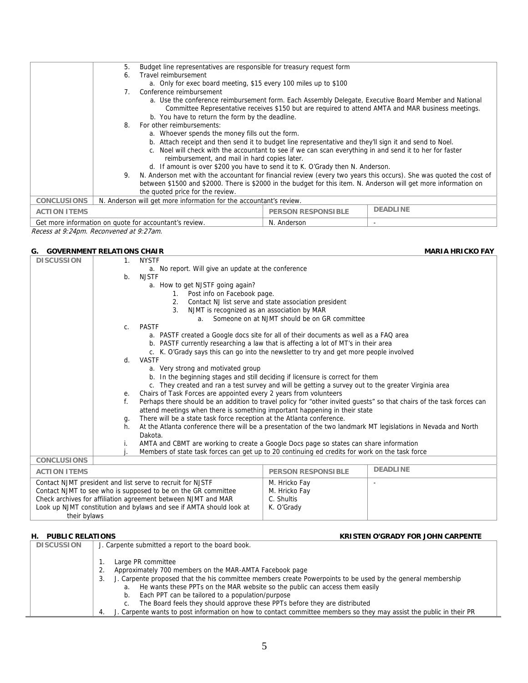|                     | Budget line representatives are responsible for treasury request form<br>5.                                           |                                                                                                                                                                                                             |  |  |  |  |
|---------------------|-----------------------------------------------------------------------------------------------------------------------|-------------------------------------------------------------------------------------------------------------------------------------------------------------------------------------------------------------|--|--|--|--|
|                     | Travel reimbursement<br>6.                                                                                            |                                                                                                                                                                                                             |  |  |  |  |
|                     |                                                                                                                       | a. Only for exec board meeting, \$15 every 100 miles up to \$100                                                                                                                                            |  |  |  |  |
|                     | 7.                                                                                                                    | Conference reimbursement                                                                                                                                                                                    |  |  |  |  |
|                     |                                                                                                                       | a. Use the conference reimbursement form. Each Assembly Delegate, Executive Board Member and National<br>Committee Representative receives \$150 but are required to attend AMTA and MAR business meetings. |  |  |  |  |
|                     |                                                                                                                       | b. You have to return the form by the deadline.                                                                                                                                                             |  |  |  |  |
|                     | 8.                                                                                                                    | For other reimbursements:                                                                                                                                                                                   |  |  |  |  |
|                     |                                                                                                                       | a. Whoever spends the money fills out the form.                                                                                                                                                             |  |  |  |  |
|                     |                                                                                                                       | b. Attach receipt and then send it to budget line representative and they'll sign it and send to Noel.                                                                                                      |  |  |  |  |
|                     |                                                                                                                       | c. Noel will check with the accountant to see if we can scan everything in and send it to her for faster                                                                                                    |  |  |  |  |
|                     |                                                                                                                       | reimbursement, and mail in hard copies later.                                                                                                                                                               |  |  |  |  |
|                     |                                                                                                                       | d. If amount is over \$200 you have to send it to K. O'Grady then N. Anderson.                                                                                                                              |  |  |  |  |
|                     | 9. N. Anderson met with the accountant for financial review (every two years this occurs). She was quoted the cost of |                                                                                                                                                                                                             |  |  |  |  |
|                     | between \$1500 and \$2000. There is \$2000 in the budget for this item. N. Anderson will get more information on      |                                                                                                                                                                                                             |  |  |  |  |
|                     | the quoted price for the review.                                                                                      |                                                                                                                                                                                                             |  |  |  |  |
| <b>CONCLUSIONS</b>  | N. Anderson will get more information for the accountant's review.                                                    |                                                                                                                                                                                                             |  |  |  |  |
| <b>ACTION ITEMS</b> | <b>DEADLINE</b><br><b>PERSON RESPONSIBLE</b>                                                                          |                                                                                                                                                                                                             |  |  |  |  |
|                     | Get more information on quote for accountant's review.<br>N. Anderson                                                 |                                                                                                                                                                                                             |  |  |  |  |

Recess at 9:24pm. Reconvened at 9:27am.

### **G.** GOVERNMENT RELATIONS CHAIR **MARIA HRICKO FAY**

| <b>DISCUSSION</b>                                                   | $\mathbf{1}$ .                                                             | <b>NYSTF</b>                                                                                                                                                                             |            |                 |
|---------------------------------------------------------------------|----------------------------------------------------------------------------|------------------------------------------------------------------------------------------------------------------------------------------------------------------------------------------|------------|-----------------|
|                                                                     |                                                                            | a. No report. Will give an update at the conference                                                                                                                                      |            |                 |
|                                                                     | b <sub>1</sub>                                                             | <b>NJSTF</b>                                                                                                                                                                             |            |                 |
|                                                                     |                                                                            | a. How to get NJSTF going again?                                                                                                                                                         |            |                 |
|                                                                     |                                                                            | Post info on Facebook page.<br>1.                                                                                                                                                        |            |                 |
|                                                                     |                                                                            | Contact NJ list serve and state association president<br>2.                                                                                                                              |            |                 |
|                                                                     |                                                                            | NJMT is recognized as an association by MAR<br>3 <sub>1</sub>                                                                                                                            |            |                 |
|                                                                     |                                                                            | Someone on at NJMT should be on GR committee<br>a.                                                                                                                                       |            |                 |
|                                                                     | C <sub>1</sub>                                                             | PASTF                                                                                                                                                                                    |            |                 |
|                                                                     |                                                                            | a. PASTF created a Google docs site for all of their documents as well as a FAQ area                                                                                                     |            |                 |
|                                                                     |                                                                            | b. PASTF currently researching a law that is affecting a lot of MT's in their area                                                                                                       |            |                 |
|                                                                     |                                                                            | c. K. O'Grady says this can go into the newsletter to try and get more people involved                                                                                                   |            |                 |
|                                                                     | d.                                                                         | VASTF                                                                                                                                                                                    |            |                 |
|                                                                     |                                                                            | a. Very strong and motivated group                                                                                                                                                       |            |                 |
|                                                                     |                                                                            | b. In the beginning stages and still deciding if licensure is correct for them                                                                                                           |            |                 |
|                                                                     |                                                                            | c. They created and ran a test survey and will be getting a survey out to the greater Virginia area                                                                                      |            |                 |
|                                                                     | е.                                                                         | Chairs of Task Forces are appointed every 2 years from volunteers                                                                                                                        |            |                 |
|                                                                     | f.                                                                         | Perhaps there should be an addition to travel policy for "other invited guests" so that chairs of the task forces can                                                                    |            |                 |
|                                                                     | attend meetings when there is something important happening in their state |                                                                                                                                                                                          |            |                 |
|                                                                     | g.                                                                         | There will be a state task force reception at the Atlanta conference.                                                                                                                    |            |                 |
|                                                                     | h.                                                                         | At the Atlanta conference there will be a presentation of the two landmark MT legislations in Nevada and North<br>Dakota.                                                                |            |                 |
|                                                                     |                                                                            |                                                                                                                                                                                          |            |                 |
|                                                                     | İ.                                                                         | AMTA and CBMT are working to create a Google Docs page so states can share information<br>Members of state task forces can get up to 20 continuing ed credits for work on the task force |            |                 |
| <b>CONCLUSIONS</b>                                                  |                                                                            |                                                                                                                                                                                          |            |                 |
|                                                                     |                                                                            |                                                                                                                                                                                          |            | <b>DEADLINE</b> |
| <b>ACTION ITEMS</b>                                                 |                                                                            | <b>PERSON RESPONSIBLE</b>                                                                                                                                                                |            |                 |
| Contact NJMT president and list serve to recruit for NJSTF          |                                                                            | M. Hricko Fay                                                                                                                                                                            |            |                 |
| Contact NJMT to see who is supposed to be on the GR committee       |                                                                            | M. Hricko Fay                                                                                                                                                                            |            |                 |
| Check archives for affiliation agreement between NJMT and MAR       |                                                                            | C. Shultis                                                                                                                                                                               |            |                 |
| Look up NJMT constitution and bylaws and see if AMTA should look at |                                                                            |                                                                                                                                                                                          | K. O'Grady |                 |
| their bylaws                                                        |                                                                            |                                                                                                                                                                                          |            |                 |

### **H. PUBLIC RELATIONS KRISTEN O'GRADY FOR JOHN CARPENTE**

| <b>DISCUSSION</b> | J. Carpente submitted a report to the board book.                                                                   |
|-------------------|---------------------------------------------------------------------------------------------------------------------|
|                   |                                                                                                                     |
|                   | Large PR committee                                                                                                  |
|                   | Approximately 700 members on the MAR-AMTA Facebook page                                                             |
|                   | J. Carpente proposed that the his committee members create Powerpoints to be used by the general membership<br>3.   |
|                   | He wants these PPTs on the MAR website so the public can access them easily<br>a.                                   |
|                   | Each PPT can be tailored to a population/purpose<br>b.                                                              |
|                   | The Board feels they should approve these PPTs before they are distributed                                          |
|                   | J. Carpente wants to post information on how to contact committee members so they may assist the public in their PR |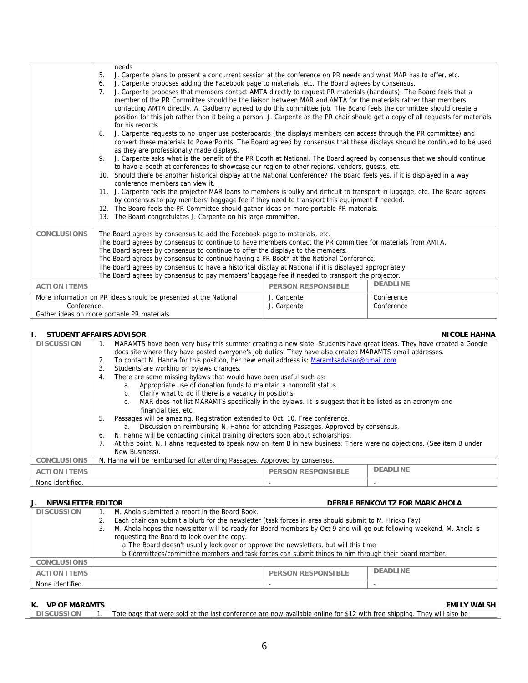|                                                                  | needs<br>5.<br>J. Carpente plans to present a concurrent session at the conference on PR needs and what MAR has to offer, etc.<br>J. Carpente proposes adding the Facebook page to materials, etc. The Board agrees by consensus.<br>6.<br>J. Carpente proposes that members contact AMTA directly to request PR materials (handouts). The Board feels that a<br>7.<br>member of the PR Committee should be the liaison between MAR and AMTA for the materials rather than members<br>contacting AMTA directly. A. Gadberry agreed to do this committee job. The Board feels the committee should create a<br>position for this job rather than it being a person. J. Carpente as the PR chair should get a copy of all requests for materials<br>for his records.<br>J. Carpente requests to no longer use posterboards (the displays members can access through the PR committee) and<br>8.<br>convert these materials to PowerPoints. The Board agreed by consensus that these displays should be continued to be used<br>as they are professionally made displays.<br>J. Carpente asks what is the benefit of the PR Booth at National. The Board agreed by consensus that we should continue<br>9.<br>to have a booth at conferences to showcase our region to other regions, vendors, guests, etc.<br>10. Should there be another historical display at the National Conference? The Board feels yes, if it is displayed in a way<br>conference members can view it.<br>11. J. Carpente feels the projector MAR loans to members is bulky and difficult to transport in luggage, etc. The Board agrees<br>by consensus to pay members' baggage fee if they need to transport this equipment if needed.<br>12. The Board feels the PR Committee should gather ideas on more portable PR materials.<br>13. The Board congratulates J. Carpente on his large committee. |                           |                 |  |
|------------------------------------------------------------------|----------------------------------------------------------------------------------------------------------------------------------------------------------------------------------------------------------------------------------------------------------------------------------------------------------------------------------------------------------------------------------------------------------------------------------------------------------------------------------------------------------------------------------------------------------------------------------------------------------------------------------------------------------------------------------------------------------------------------------------------------------------------------------------------------------------------------------------------------------------------------------------------------------------------------------------------------------------------------------------------------------------------------------------------------------------------------------------------------------------------------------------------------------------------------------------------------------------------------------------------------------------------------------------------------------------------------------------------------------------------------------------------------------------------------------------------------------------------------------------------------------------------------------------------------------------------------------------------------------------------------------------------------------------------------------------------------------------------------------------------------------------------------------------------------------------------------------------------------------------------------|---------------------------|-----------------|--|
| <b>CONCLUSIONS</b>                                               | The Board agrees by consensus to add the Facebook page to materials, etc.<br>The Board agrees by consensus to continue to have members contact the PR committee for materials from AMTA.                                                                                                                                                                                                                                                                                                                                                                                                                                                                                                                                                                                                                                                                                                                                                                                                                                                                                                                                                                                                                                                                                                                                                                                                                                                                                                                                                                                                                                                                                                                                                                                                                                                                                   |                           |                 |  |
|                                                                  | The Board agrees by consensus to continue to offer the displays to the members.                                                                                                                                                                                                                                                                                                                                                                                                                                                                                                                                                                                                                                                                                                                                                                                                                                                                                                                                                                                                                                                                                                                                                                                                                                                                                                                                                                                                                                                                                                                                                                                                                                                                                                                                                                                            |                           |                 |  |
|                                                                  | The Board agrees by consensus to continue having a PR Booth at the National Conference.<br>The Board agrees by consensus to have a historical display at National if it is displayed appropriately.                                                                                                                                                                                                                                                                                                                                                                                                                                                                                                                                                                                                                                                                                                                                                                                                                                                                                                                                                                                                                                                                                                                                                                                                                                                                                                                                                                                                                                                                                                                                                                                                                                                                        |                           |                 |  |
|                                                                  | The Board agrees by consensus to pay members' baggage fee if needed to transport the projector.                                                                                                                                                                                                                                                                                                                                                                                                                                                                                                                                                                                                                                                                                                                                                                                                                                                                                                                                                                                                                                                                                                                                                                                                                                                                                                                                                                                                                                                                                                                                                                                                                                                                                                                                                                            |                           |                 |  |
| <b>ACTION ITEMS</b>                                              |                                                                                                                                                                                                                                                                                                                                                                                                                                                                                                                                                                                                                                                                                                                                                                                                                                                                                                                                                                                                                                                                                                                                                                                                                                                                                                                                                                                                                                                                                                                                                                                                                                                                                                                                                                                                                                                                            | <b>PERSON RESPONSIBLE</b> | <b>DEADLINE</b> |  |
| More information on PR ideas should be presented at the National |                                                                                                                                                                                                                                                                                                                                                                                                                                                                                                                                                                                                                                                                                                                                                                                                                                                                                                                                                                                                                                                                                                                                                                                                                                                                                                                                                                                                                                                                                                                                                                                                                                                                                                                                                                                                                                                                            | J. Carpente               | Conference      |  |
| Conference.                                                      |                                                                                                                                                                                                                                                                                                                                                                                                                                                                                                                                                                                                                                                                                                                                                                                                                                                                                                                                                                                                                                                                                                                                                                                                                                                                                                                                                                                                                                                                                                                                                                                                                                                                                                                                                                                                                                                                            | J. Carpente               | Conference      |  |
| Gather ideas on more portable PR materials.                      |                                                                                                                                                                                                                                                                                                                                                                                                                                                                                                                                                                                                                                                                                                                                                                                                                                                                                                                                                                                                                                                                                                                                                                                                                                                                                                                                                                                                                                                                                                                                                                                                                                                                                                                                                                                                                                                                            |                           |                 |  |

#### **I. STUDENT AFFAIRS ADVISOR NICOLE HAHNA**

| 310DENI AFFAIRS ADVISUR |                                                                                                                             |                                                                                                                     |  | INIGULE FIAFINA |  |
|-------------------------|-----------------------------------------------------------------------------------------------------------------------------|---------------------------------------------------------------------------------------------------------------------|--|-----------------|--|
| <b>DISCUSSION</b>       | 1.                                                                                                                          | MARAMTS have been very busy this summer creating a new slate. Students have great ideas. They have created a Google |  |                 |  |
|                         |                                                                                                                             | docs site where they have posted everyone's job duties. They have also created MARAMTS email addresses.             |  |                 |  |
|                         | 2.                                                                                                                          | To contact N. Hahna for this position, her new email address is: Maramtsadvisor@gmail.com                           |  |                 |  |
|                         | 3.                                                                                                                          | Students are working on bylaws changes.                                                                             |  |                 |  |
|                         | 4.                                                                                                                          | There are some missing bylaws that would have been useful such as:                                                  |  |                 |  |
|                         |                                                                                                                             | Appropriate use of donation funds to maintain a nonprofit status<br>a.                                              |  |                 |  |
|                         |                                                                                                                             | Clarify what to do if there is a vacancy in positions<br>b.                                                         |  |                 |  |
|                         |                                                                                                                             | MAR does not list MARAMTS specifically in the bylaws. It is suggest that it be listed as an acronym and<br>C.       |  |                 |  |
|                         |                                                                                                                             | financial ties, etc.                                                                                                |  |                 |  |
|                         | 5.                                                                                                                          | Passages will be amazing. Registration extended to Oct. 10. Free conference.                                        |  |                 |  |
|                         |                                                                                                                             | Discussion on reimbursing N. Hahna for attending Passages. Approved by consensus.<br>a.                             |  |                 |  |
|                         | N. Hahna will be contacting clinical training directors soon about scholarships.<br>6.                                      |                                                                                                                     |  |                 |  |
|                         | At this point, N. Hahna requested to speak now on item B in new business. There were no objections. (See item B under<br>7. |                                                                                                                     |  |                 |  |
|                         |                                                                                                                             | New Business).                                                                                                      |  |                 |  |
| <b>CONCLUSIONS</b>      |                                                                                                                             | N. Hahna will be reimbursed for attending Passages. Approved by consensus.                                          |  |                 |  |
| <b>ACTION ITEMS</b>     | <b>DEADLINE</b><br><b>PERSON RESPONSIBLE</b>                                                                                |                                                                                                                     |  |                 |  |
| None identified.        |                                                                                                                             |                                                                                                                     |  |                 |  |

#### **J. NEWSLETTER EDITOR DEBBIE BENKOVITZ FOR MARK AHOLA**

| <b>DISCUSSION</b>   | M. Ahola submitted a report in the Board Book.                                                       |                                                                                                                       |                           |                 |
|---------------------|------------------------------------------------------------------------------------------------------|-----------------------------------------------------------------------------------------------------------------------|---------------------------|-----------------|
|                     |                                                                                                      | Each chair can submit a blurb for the newsletter (task forces in area should submit to M. Hricko Fay)                 |                           |                 |
|                     | 3.                                                                                                   | M. Ahola hopes the newsletter will be ready for Board members by Oct 9 and will go out following weekend. M. Ahola is |                           |                 |
|                     |                                                                                                      | requesting the Board to look over the copy.                                                                           |                           |                 |
|                     | a. The Board doesn't usually look over or approve the newsletters, but will this time                |                                                                                                                       |                           |                 |
|                     | b. Committees/committee members and task forces can submit things to him through their board member. |                                                                                                                       |                           |                 |
| <b>CONCLUSIONS</b>  |                                                                                                      |                                                                                                                       |                           |                 |
| <b>ACTION ITEMS</b> |                                                                                                      |                                                                                                                       | <b>PERSON RESPONSIBLE</b> | <b>DEADLINE</b> |
| None identified.    |                                                                                                      |                                                                                                                       | -                         |                 |
|                     |                                                                                                      |                                                                                                                       |                           |                 |

### **K. VP OF MARAMTS EMILY WALSH**

| <b>DISCUSSION</b> | Tote bags that were sold at the last conference are now available online for \$12 with free shipping. They will also be |
|-------------------|-------------------------------------------------------------------------------------------------------------------------|
|                   |                                                                                                                         |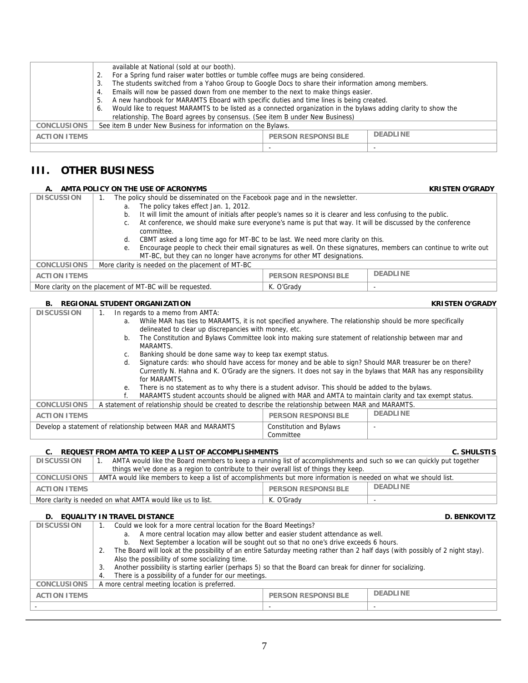|                     | available at National (sold at our booth).                                                                            |  |  |
|---------------------|-----------------------------------------------------------------------------------------------------------------------|--|--|
|                     | For a Spring fund raiser water bottles or tumble coffee mugs are being considered.                                    |  |  |
|                     | The students switched from a Yahoo Group to Google Docs to share their information among members.<br>3                |  |  |
|                     | Emails will now be passed down from one member to the next to make things easier.<br>4.                               |  |  |
|                     | A new handbook for MARAMTS Eboard with specific duties and time lines is being created.<br>. ს                        |  |  |
|                     | Would like to request MARAMTS to be listed as a connected organization in the bylaws adding clarity to show the<br>6. |  |  |
|                     | relationship. The Board agrees by consensus. (See item B under New Business)                                          |  |  |
| <b>CONCLUSIONS</b>  | See item B under New Business for information on the Bylaws.                                                          |  |  |
| <b>ACTION ITEMS</b> | <b>DEADLINE</b><br><b>PERSON RESPONSIBLE</b>                                                                          |  |  |
|                     |                                                                                                                       |  |  |

## **III. OTHER BUSINESS**

| А.                  | AMTA POLICY ON THE USE OF ACRONYMS                                                                                             |                           | <b>KRISTEN O'GRADY</b> |
|---------------------|--------------------------------------------------------------------------------------------------------------------------------|---------------------------|------------------------|
| <b>DISCUSSION</b>   | The policy should be disseminated on the Facebook page and in the newsletter.                                                  |                           |                        |
|                     | The policy takes effect Jan. 1, 2012.<br>a.                                                                                    |                           |                        |
|                     | It will limit the amount of initials after people's names so it is clearer and less confusing to the public.<br>b.             |                           |                        |
|                     | At conference, we should make sure everyone's name is put that way. It will be discussed by the conference<br>C.<br>committee. |                           |                        |
|                     | CBMT asked a long time ago for MT-BC to be last. We need more clarity on this.<br>d.                                           |                           |                        |
|                     | Encourage people to check their email signatures as well. On these signatures, members can continue to write out<br>е.         |                           |                        |
|                     | MT-BC, but they can no longer have acronyms for other MT designations.                                                         |                           |                        |
| <b>CONCLUSIONS</b>  | More clarity is needed on the placement of MT-BC                                                                               |                           |                        |
| <b>ACTION ITEMS</b> |                                                                                                                                | <b>PERSON RESPONSIBLE</b> | <b>DEADLINE</b>        |
|                     | More clarity on the placement of MT-BC will be requested.                                                                      | K. O'Grady                |                        |

#### **B. REGIONAL STUDENT ORGANIZATION KRISTEN O'GRADY**

| <b>DISCUSSION</b>                                                                      | In regards to a memo from AMTA:<br>1.                                                                           |                                                                                                                  |  |  |
|----------------------------------------------------------------------------------------|-----------------------------------------------------------------------------------------------------------------|------------------------------------------------------------------------------------------------------------------|--|--|
|                                                                                        | While MAR has ties to MARAMTS, it is not specified anywhere. The relationship should be more specifically<br>a. |                                                                                                                  |  |  |
|                                                                                        | delineated to clear up discrepancies with money, etc.                                                           |                                                                                                                  |  |  |
|                                                                                        | The Constitution and Bylaws Committee look into making sure statement of relationship between mar and<br>b.     |                                                                                                                  |  |  |
|                                                                                        | MARAMTS.                                                                                                        |                                                                                                                  |  |  |
|                                                                                        | Banking should be done same way to keep tax exempt status.<br>C.                                                |                                                                                                                  |  |  |
|                                                                                        | Signature cards: who should have access for money and be able to sign? Should MAR treasurer be on there?<br>d.  |                                                                                                                  |  |  |
|                                                                                        |                                                                                                                 | Currently N. Hahna and K. O'Grady are the signers. It does not say in the bylaws that MAR has any responsibility |  |  |
|                                                                                        | for MARAMTS.                                                                                                    |                                                                                                                  |  |  |
|                                                                                        | There is no statement as to why there is a student advisor. This should be added to the bylaws.<br>е.           |                                                                                                                  |  |  |
|                                                                                        | MARAMTS student accounts should be aligned with MAR and AMTA to maintain clarity and tax exempt status.         |                                                                                                                  |  |  |
| <b>CONCLUSIONS</b>                                                                     | A statement of relationship should be created to describe the relationship between MAR and MARAMTS.             |                                                                                                                  |  |  |
| <b>DEADLINE</b><br><b>PERSON RESPONSIBLE</b><br><b>ACTION ITEMS</b>                    |                                                                                                                 |                                                                                                                  |  |  |
| Develop a statement of relationship between MAR and MARAMTS<br>Constitution and Bylaws |                                                                                                                 |                                                                                                                  |  |  |
|                                                                                        | Committee                                                                                                       |                                                                                                                  |  |  |
|                                                                                        |                                                                                                                 |                                                                                                                  |  |  |

#### C. REQUEST FROM AMTA TO KEEP A LIST OF ACCOMPLISHMENTS **CONSIDERING A CONSIDERING** C. SHULSTIS

| <b>DISCUSSION</b>                                                                                                                      | AMTA would like the Board members to keep a running list of accomplishments and such so we can quickly put together |            |  |
|----------------------------------------------------------------------------------------------------------------------------------------|---------------------------------------------------------------------------------------------------------------------|------------|--|
|                                                                                                                                        | things we've done as a region to contribute to their overall list of things they keep.                              |            |  |
| AMTA would like members to keep a list of accomplishments but more information is needed on what we should list.<br><b>CONCLUSIONS</b> |                                                                                                                     |            |  |
| <b>DEADLINE</b><br><b>PERSON RESPONSIBLE</b><br><b>ACTION ITEMS</b>                                                                    |                                                                                                                     |            |  |
| More clarity is needed on what AMTA would like us to list.                                                                             |                                                                                                                     | K. O'Grady |  |

#### **D. EQUALITY IN TRAVEL DISTANCE D. BENKOVITZ**

| <b>DISCUSSION</b>   | Could we look for a more central location for the Board Meetings?<br>a. A more central location may allow better and easier student attendance as well.<br>Next September a location will be sought out so that no one's drive exceeds 6 hours.<br>b.<br>The Board will look at the possibility of an entire Saturday meeting rather than 2 half days (with possibly of 2 night stay).<br>2.<br>Also the possibility of some socializing time. |                 |  |  |
|---------------------|------------------------------------------------------------------------------------------------------------------------------------------------------------------------------------------------------------------------------------------------------------------------------------------------------------------------------------------------------------------------------------------------------------------------------------------------|-----------------|--|--|
|                     | Another possibility is starting earlier (perhaps 5) so that the Board can break for dinner for socializing.<br>3.                                                                                                                                                                                                                                                                                                                              |                 |  |  |
|                     | There is a possibility of a funder for our meetings.<br>4.                                                                                                                                                                                                                                                                                                                                                                                     |                 |  |  |
| <b>CONCLUSIONS</b>  | A more central meeting location is preferred.                                                                                                                                                                                                                                                                                                                                                                                                  |                 |  |  |
| <b>ACTION ITEMS</b> | <b>PERSON RESPONSIBLE</b>                                                                                                                                                                                                                                                                                                                                                                                                                      | <b>DEADLINE</b> |  |  |
|                     |                                                                                                                                                                                                                                                                                                                                                                                                                                                |                 |  |  |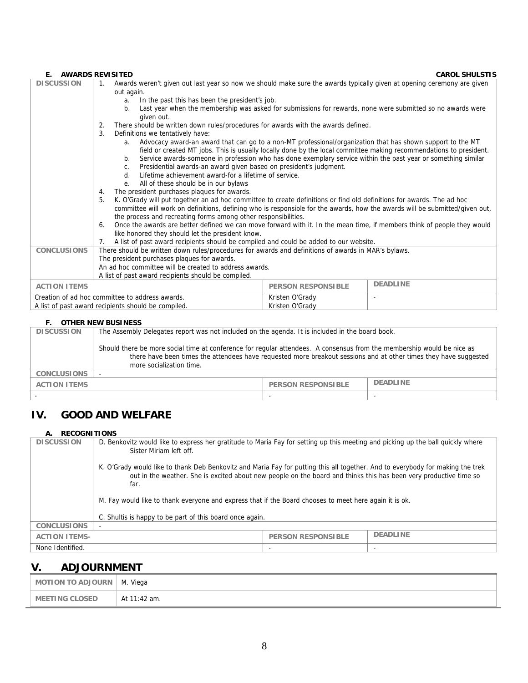#### **E. AWARDS REVISITED CAROL SHULSTIS**<br>DISCUSSION 1. Awards weren't given out last year so now we should make sure the awards typically given at opening ceremony are given 1. Awards weren't given out last year so now we should make sure the awards typically given at opening ceremony are given out again. a. In the past this has been the president's job. b. Last year when the membership was asked for submissions for rewards, none were submitted so no awards were given out. 2. There should be written down rules/procedures for awards with the awards defined. 3. Definitions we tentatively have: a. Advocacy award-an award that can go to a non-MT professional/organization that has shown support to the MT field or created MT jobs. This is usually locally done by the local committee making recommendations to president. b. Service awards-someone in profession who has done exemplary service within the past year or something similar c. Presidential awards-an award given based on president's judgment. d. Lifetime achievement award-for a lifetime of service. e. All of these should be in our bylaws 4. The president purchases plaques for awards. 5. K. O'Grady will put together an ad hoc committee to create definitions or find old definitions for awards. The ad hoc committee will work on definitions, defining who is responsible for the awards, how the awards will be submitted/given out, the process and recreating forms among other responsibilities. 6. Once the awards are better defined we can move forward with it. In the mean time, if members think of people they would like honored they should let the president know. 7. A list of past award recipients should be compiled and could be added to our website. **CONCLUSIONS** There should be written down rules/procedures for awards and definitions of awards in MAR's bylaws. The president purchases plaques for awards. An ad hoc committee will be created to address awards. A list of past award recipients should be compiled. **ACTION ITEMS** PERSON RESPONSIBLE **DEADLINE** Creation of ad hoc committee to address awards. A list of past award recipients should be compiled. Kristen O'Grady Kristen O'Grady -

### **F. OTHER NEW BUSINESS**

| <b>DISCUSSION</b>   | The Assembly Delegates report was not included on the agenda. It is included in the board book.                                                                                                                                                                        |                           |                 |  |
|---------------------|------------------------------------------------------------------------------------------------------------------------------------------------------------------------------------------------------------------------------------------------------------------------|---------------------------|-----------------|--|
|                     | Should there be more social time at conference for regular attendees. A consensus from the membership would be nice as<br>there have been times the attendees have requested more breakout sessions and at other times they have suggested<br>more socialization time. |                           |                 |  |
| <b>CONCLUSIONS</b>  |                                                                                                                                                                                                                                                                        |                           |                 |  |
| <b>ACTION ITEMS</b> |                                                                                                                                                                                                                                                                        | <b>PERSON RESPONSIBLE</b> | <b>DEADLINE</b> |  |
|                     |                                                                                                                                                                                                                                                                        |                           |                 |  |

## **IV. GOOD AND WELFARE**

#### **A. RECOGNITIONS**

| <b>DISCUSSION</b>    | D. Benkovitz would like to express her gratitude to Maria Fay for setting up this meeting and picking up the ball quickly where<br>Sister Miriam left off.                                                                                                  |                           |                 |  |  |
|----------------------|-------------------------------------------------------------------------------------------------------------------------------------------------------------------------------------------------------------------------------------------------------------|---------------------------|-----------------|--|--|
|                      | K. O'Grady would like to thank Deb Benkovitz and Maria Fay for putting this all together. And to everybody for making the trek<br>out in the weather. She is excited about new people on the board and thinks this has been very productive time so<br>far. |                           |                 |  |  |
|                      | M. Fay would like to thank everyone and express that if the Board chooses to meet here again it is ok.                                                                                                                                                      |                           |                 |  |  |
|                      | C. Shultis is happy to be part of this board once again.                                                                                                                                                                                                    |                           |                 |  |  |
| <b>CONCLUSIONS</b>   | $\overline{\phantom{0}}$                                                                                                                                                                                                                                    |                           |                 |  |  |
| <b>ACTION ITEMS-</b> |                                                                                                                                                                                                                                                             | <b>PERSON RESPONSIBLE</b> | <b>DEADLINE</b> |  |  |
| None Identified.     |                                                                                                                                                                                                                                                             |                           |                 |  |  |

## **V. ADJOURNMENT**

| MOTION TO ADJOURN     | M. Viega     |
|-----------------------|--------------|
| <b>MEETING CLOSED</b> | At 11:42 am. |